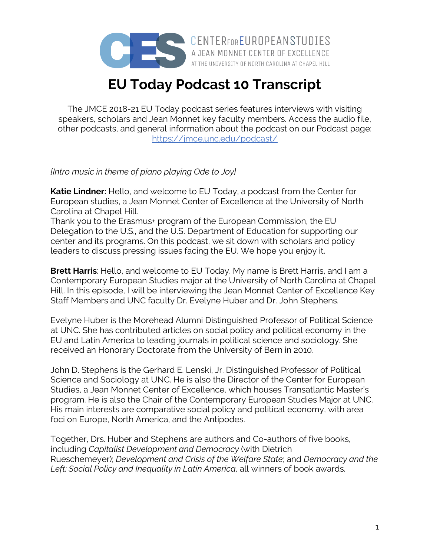

A JEAN MONNET CENTER OF EXCELLENCE AT THE UNIVERSITY OF NORTH CAROLINA AT CHAPEL HILL

## **EU Today Podcast 10 Transcript**

The JMCE 2018-21 EU Today podcast series features interviews with visiting speakers, scholars and Jean Monnet key faculty members. Access the audio file, other podcasts, and general information about the podcast on our Podcast page: https://jmce.unc.edu/podcast/

## *[Intro music in theme of piano playing Ode to Joy]*

**Katie Lindner:** Hello, and welcome to EU Today, a podcast from the Center for European studies, a Jean Monnet Center of Excellence at the University of North Carolina at Chapel Hill.

Thank you to the Erasmus+ program of the European Commission, the EU Delegation to the U.S., and the U.S. Department of Education for supporting our center and its programs. On this podcast, we sit down with scholars and policy leaders to discuss pressing issues facing the EU. We hope you enjoy it.

**Brett Harris**: Hello, and welcome to EU Today. My name is Brett Harris, and I am a Contemporary European Studies major at the University of North Carolina at Chapel Hill. In this episode, I will be interviewing the Jean Monnet Center of Excellence Key Staff Members and UNC faculty Dr. Evelyne Huber and Dr. John Stephens.

Evelyne Huber is the Morehead Alumni Distinguished Professor of Political Science at UNC. She has contributed articles on social policy and political economy in the EU and Latin America to leading journals in political science and sociology. She received an Honorary Doctorate from the University of Bern in 2010.

John D. Stephens is the Gerhard E. Lenski, Jr. Distinguished Professor of Political Science and Sociology at UNC. He is also the Director of the Center for European Studies, a Jean Monnet Center of Excellence, which houses Transatlantic Master's program. He is also the Chair of the Contemporary European Studies Major at UNC. His main interests are comparative social policy and political economy, with area foci on Europe, North America, and the Antipodes.

Together, Drs. Huber and Stephens are authors and Co-authors of five books, including *Capitalist Development and Democracy* (with Dietrich Rueschemeyer); *Development and Crisis of the Welfare State*; and *Democracy and the Left: Social Policy and Inequality in Latin America*, all winners of book awards.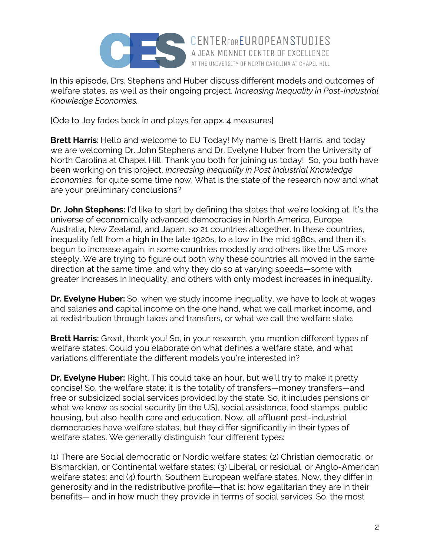

In this episode, Drs. Stephens and Huber discuss different models and outcomes of welfare states, as well as their ongoing project, *Increasing Inequality in Post-Industrial Knowledge Economies.*

AT THE UNIVERSITY OF NORTH CAROLINA AT CHAPEL HILL

[Ode to Joy fades back in and plays for appx. 4 measures]

**Brett Harris:** Hello and welcome to EU Today! My name is Brett Harris, and today we are welcoming Dr. John Stephens and Dr. Evelyne Huber from the University of North Carolina at Chapel Hill. Thank you both for joining us today! So, you both have been working on this project, *Increasing Inequality in Post Industrial Knowledge Economies*, for quite some time now. What is the state of the research now and what are your preliminary conclusions?

**Dr. John Stephens:** I'd like to start by defining the states that we're looking at. It's the universe of economically advanced democracies in North America, Europe, Australia, New Zealand, and Japan, so 21 countries altogether. In these countries, inequality fell from a high in the late 1920s, to a low in the mid 1980s, and then it's begun to increase again, in some countries modestly and others like the US more steeply. We are trying to figure out both why these countries all moved in the same direction at the same time, and why they do so at varying speeds—some with greater increases in inequality, and others with only modest increases in inequality.

**Dr. Evelyne Huber:** So, when we study income inequality, we have to look at wages and salaries and capital income on the one hand, what we call market income, and at redistribution through taxes and transfers, or what we call the welfare state.

**Brett Harris:** Great, thank you! So, in your research, you mention different types of welfare states. Could you elaborate on what defines a welfare state, and what variations differentiate the different models you're interested in?

**Dr. Evelyne Huber:** Right. This could take an hour, but we'll try to make it pretty concise! So, the welfare state: it is the totality of transfers—money transfers—and free or subsidized social services provided by the state. So, it includes pensions or what we know as social security [in the US], social assistance, food stamps, public housing, but also health care and education. Now, all affluent post-industrial democracies have welfare states, but they differ significantly in their types of welfare states. We generally distinguish four different types:

(1) There are Social democratic or Nordic welfare states; (2) Christian democratic, or Bismarckian, or Continental welfare states; (3) Liberal, or residual, or Anglo-American welfare states; and (4) fourth, Southern European welfare states. Now, they differ in generosity and in the redistributive profile—that is: how egalitarian they are in their benefits— and in how much they provide in terms of social services. So, the most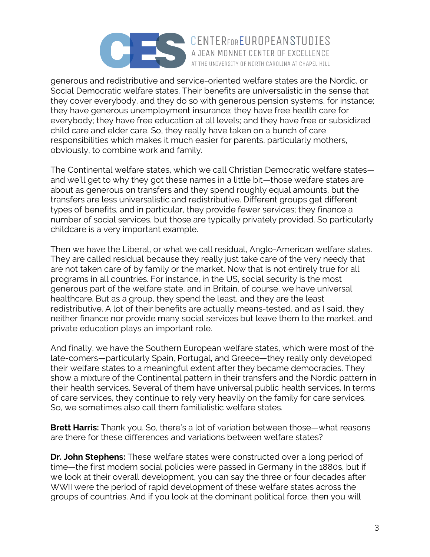

generous and redistributive and service-oriented welfare states are the Nordic, or Social Democratic welfare states. Their benefits are universalistic in the sense that they cover everybody, and they do so with generous pension systems, for instance; they have generous unemployment insurance; they have free health care for everybody; they have free education at all levels; and they have free or subsidized child care and elder care. So, they really have taken on a bunch of care responsibilities which makes it much easier for parents, particularly mothers, obviously, to combine work and family.

The Continental welfare states, which we call Christian Democratic welfare states and we'll get to why they got these names in a little bit—those welfare states are about as generous on transfers and they spend roughly equal amounts, but the transfers are less universalistic and redistributive. Different groups get different types of benefits, and in particular, they provide fewer services; they finance a number of social services, but those are typically privately provided. So particularly childcare is a very important example.

Then we have the Liberal, or what we call residual, Anglo-American welfare states. They are called residual because they really just take care of the very needy that are not taken care of by family or the market. Now that is not entirely true for all programs in all countries. For instance, in the US, social security is the most generous part of the welfare state, and in Britain, of course, we have universal healthcare. But as a group, they spend the least, and they are the least redistributive. A lot of their benefits are actually means-tested, and as I said, they neither finance nor provide many social services but leave them to the market, and private education plays an important role.

And finally, we have the Southern European welfare states, which were most of the late-comers—particularly Spain, Portugal, and Greece—they really only developed their welfare states to a meaningful extent after they became democracies. They show a mixture of the Continental pattern in their transfers and the Nordic pattern in their health services. Several of them have universal public health services. In terms of care services, they continue to rely very heavily on the family for care services. So, we sometimes also call them familialistic welfare states.

**Brett Harris:** Thank you. So, there's a lot of variation between those—what reasons are there for these differences and variations between welfare states?

**Dr. John Stephens:** These welfare states were constructed over a long period of time—the first modern social policies were passed in Germany in the 1880s, but if we look at their overall development, you can say the three or four decades after WWII were the period of rapid development of these welfare states across the groups of countries. And if you look at the dominant political force, then you will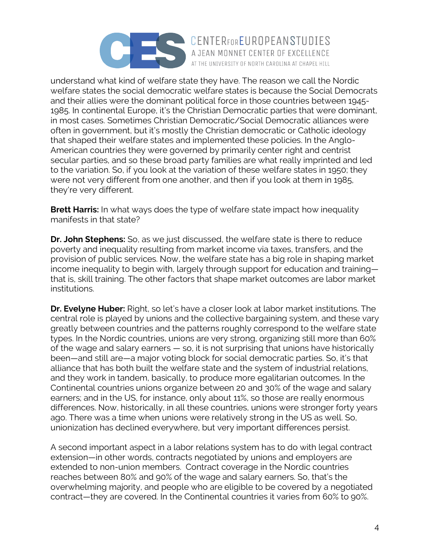

understand what kind of welfare state they have. The reason we call the Nordic welfare states the social democratic welfare states is because the Social Democrats and their allies were the dominant political force in those countries between 1945- 1985. In continental Europe, it's the Christian Democratic parties that were dominant, in most cases. Sometimes Christian Democratic/Social Democratic alliances were often in government, but it's mostly the Christian democratic or Catholic ideology that shaped their welfare states and implemented these policies. In the Anglo-American countries they were governed by primarily center right and centrist secular parties, and so these broad party families are what really imprinted and led to the variation. So, if you look at the variation of these welfare states in 1950; they were not very different from one another, and then if you look at them in 1985, they're very different.

AT THE UNIVERSITY OF NORTH CAROLINA AT CHAPEL HILL

**Brett Harris:** In what ways does the type of welfare state impact how inequality manifests in that state?

**Dr. John Stephens:** So, as we just discussed, the welfare state is there to reduce poverty and inequality resulting from market income via taxes, transfers, and the provision of public services. Now, the welfare state has a big role in shaping market income inequality to begin with, largely through support for education and training that is, skill training. The other factors that shape market outcomes are labor market institutions.

**Dr. Evelyne Huber:** Right, so let's have a closer look at labor market institutions. The central role is played by unions and the collective bargaining system, and these vary greatly between countries and the patterns roughly correspond to the welfare state types. In the Nordic countries, unions are very strong, organizing still more than 60% of the wage and salary earners — so, it is not surprising that unions have historically been—and still are—a major voting block for social democratic parties. So, it's that alliance that has both built the welfare state and the system of industrial relations, and they work in tandem, basically, to produce more egalitarian outcomes. In the Continental countries unions organize between 20 and 30% of the wage and salary earners; and in the US, for instance, only about 11%, so those are really enormous differences. Now, historically, in all these countries, unions were stronger forty years ago. There was a time when unions were relatively strong in the US as well. So, unionization has declined everywhere, but very important differences persist.

A second important aspect in a labor relations system has to do with legal contract extension—in other words, contracts negotiated by unions and employers are extended to non-union members. Contract coverage in the Nordic countries reaches between 80% and 90% of the wage and salary earners. So, that's the overwhelming majority, and people who are eligible to be covered by a negotiated contract—they are covered. In the Continental countries it varies from 60% to 90%.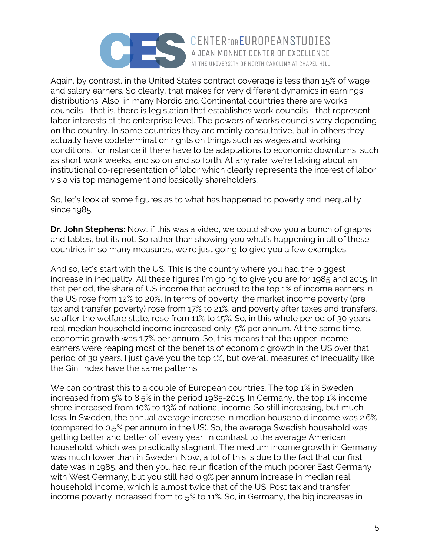

Again, by contrast, in the United States contract coverage is less than 15% of wage and salary earners. So clearly, that makes for very different dynamics in earnings distributions. Also, in many Nordic and Continental countries there are works councils—that is, there is legislation that establishes work councils—that represent labor interests at the enterprise level. The powers of works councils vary depending on the country. In some countries they are mainly consultative, but in others they actually have codetermination rights on things such as wages and working conditions, for instance if there have to be adaptations to economic downturns, such as short work weeks, and so on and so forth. At any rate, we're talking about an institutional co-representation of labor which clearly represents the interest of labor vis a vis top management and basically shareholders.

AT THE UNIVERSITY OF NORTH CAROLINA AT CHAPEL HILL

So, let's look at some figures as to what has happened to poverty and inequality since 1985.

**Dr. John Stephens:** Now, if this was a video, we could show you a bunch of graphs and tables, but its not. So rather than showing you what's happening in all of these countries in so many measures, we're just going to give you a few examples.

And so, let's start with the US. This is the country where you had the biggest increase in inequality. All these figures I'm going to give you are for 1985 and 2015. In that period, the share of US income that accrued to the top 1% of income earners in the US rose from 12% to 20%. In terms of poverty, the market income poverty (pre tax and transfer poverty) rose from 17% to 21%, and poverty after taxes and transfers, so after the welfare state, rose from 11% to 15%. So, in this whole period of 30 years, real median household income increased only .5% per annum. At the same time, economic growth was 1.7% per annum. So, this means that the upper income earners were reaping most of the benefits of economic growth in the US over that period of 30 years. I just gave you the top 1%, but overall measures of inequality like the Gini index have the same patterns.

We can contrast this to a couple of European countries. The top 1% in Sweden increased from 5% to 8.5% in the period 1985-2015. In Germany, the top 1% income share increased from 10% to 13% of national income. So still increasing, but much less. In Sweden, the annual average increase in median household income was 2.6% (compared to 0.5% per annum in the US). So, the average Swedish household was getting better and better off every year, in contrast to the average American household, which was practically stagnant. The medium income growth in Germany was much lower than in Sweden. Now, a lot of this is due to the fact that our first date was in 1985, and then you had reunification of the much poorer East Germany with West Germany, but you still had 0.9% per annum increase in median real household income, which is almost twice that of the US. Post tax and transfer income poverty increased from to 5% to 11%. So, in Germany, the big increases in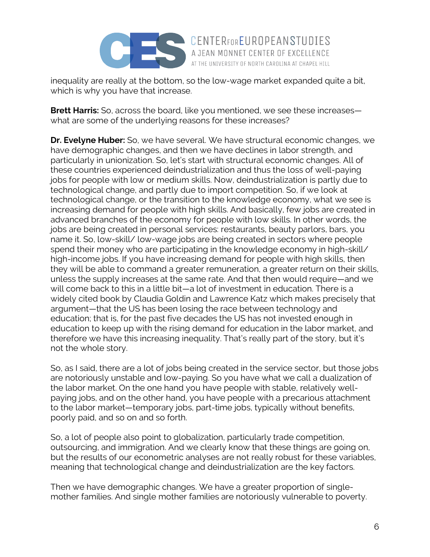

inequality are really at the bottom, so the low-wage market expanded quite a bit, which is why you have that increase.

AT THE UNIVERSITY OF NORTH CAROLINA AT CHAPEL HILL

**Brett Harris:** So, across the board, like you mentioned, we see these increases what are some of the underlying reasons for these increases?

**Dr. Evelyne Huber:** So, we have several. We have structural economic changes, we have demographic changes, and then we have declines in labor strength, and particularly in unionization. So, let's start with structural economic changes. All of these countries experienced deindustrialization and thus the loss of well-paying jobs for people with low or medium skills. Now, deindustrialization is partly due to technological change, and partly due to import competition. So, if we look at technological change, or the transition to the knowledge economy, what we see is increasing demand for people with high skills. And basically, few jobs are created in advanced branches of the economy for people with low skills. In other words, the jobs are being created in personal services: restaurants, beauty parlors, bars, you name it. So, low-skill/ low-wage jobs are being created in sectors where people spend their money who are participating in the knowledge economy in high-skill/ high-income jobs. If you have increasing demand for people with high skills, then they will be able to command a greater remuneration, a greater return on their skills, unless the supply increases at the same rate. And that then would require—and we will come back to this in a little bit—a lot of investment in education. There is a widely cited book by Claudia Goldin and Lawrence Katz which makes precisely that argument—that the US has been losing the race between technology and education; that is, for the past five decades the US has not invested enough in education to keep up with the rising demand for education in the labor market, and therefore we have this increasing inequality. That's really part of the story, but it's not the whole story.

So, as I said, there are a lot of jobs being created in the service sector, but those jobs are notoriously unstable and low-paying. So you have what we call a dualization of the labor market. On the one hand you have people with stable, relatively wellpaying jobs, and on the other hand, you have people with a precarious attachment to the labor market—temporary jobs, part-time jobs, typically without benefits, poorly paid, and so on and so forth.

So, a lot of people also point to globalization, particularly trade competition, outsourcing, and immigration. And we clearly know that these things are going on, but the results of our econometric analyses are not really robust for these variables, meaning that technological change and deindustrialization are the key factors.

Then we have demographic changes. We have a greater proportion of singlemother families. And single mother families are notoriously vulnerable to poverty.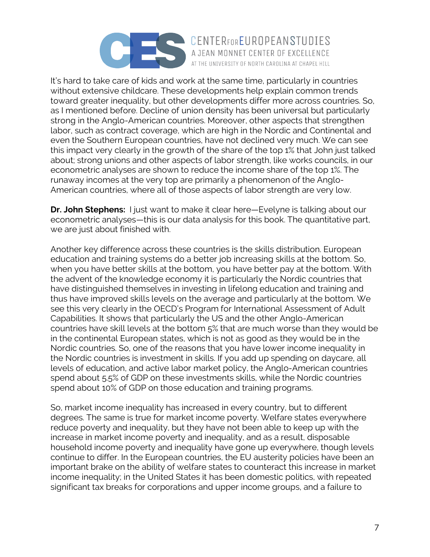

It's hard to take care of kids and work at the same time, particularly in countries without extensive childcare. These developments help explain common trends toward greater inequality, but other developments differ more across countries. So, as I mentioned before. Decline of union density has been universal but particularly strong in the Anglo-American countries. Moreover, other aspects that strengthen labor, such as contract coverage, which are high in the Nordic and Continental and even the Southern European countries, have not declined very much. We can see this impact very clearly in the growth of the share of the top 1% that John just talked about; strong unions and other aspects of labor strength, like works councils, in our econometric analyses are shown to reduce the income share of the top 1%. The runaway incomes at the very top are primarily a phenomenon of the Anglo-American countries, where all of those aspects of labor strength are very low.

AT THE UNIVERSITY OF NORTH CAROLINA AT CHAPEL HILL

**Dr. John Stephens:** I just want to make it clear here—Evelyne is talking about our econometric analyses—this is our data analysis for this book. The quantitative part, we are just about finished with.

Another key difference across these countries is the skills distribution. European education and training systems do a better job increasing skills at the bottom. So, when you have better skills at the bottom, you have better pay at the bottom. With the advent of the knowledge economy it is particularly the Nordic countries that have distinguished themselves in investing in lifelong education and training and thus have improved skills levels on the average and particularly at the bottom. We see this very clearly in the OECD's Program for International Assessment of Adult Capabilities. It shows that particularly the US and the other Anglo-American countries have skill levels at the bottom 5% that are much worse than they would be in the continental European states, which is not as good as they would be in the Nordic countries. So, one of the reasons that you have lower income inequality in the Nordic countries is investment in skills. If you add up spending on daycare, all levels of education, and active labor market policy, the Anglo-American countries spend about 5.5% of GDP on these investments skills, while the Nordic countries spend about 10% of GDP on those education and training programs.

So, market income inequality has increased in every country, but to different degrees. The same is true for market income poverty. Welfare states everywhere reduce poverty and inequality, but they have not been able to keep up with the increase in market income poverty and inequality, and as a result, disposable household income poverty and inequality have gone up everywhere, though levels continue to differ. In the European countries, the EU austerity policies have been an important brake on the ability of welfare states to counteract this increase in market income inequality; in the United States it has been domestic politics, with repeated significant tax breaks for corporations and upper income groups, and a failure to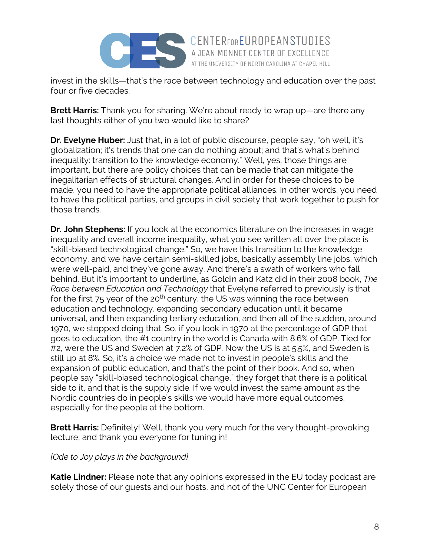

invest in the skills—that's the race between technology and education over the past four or five decades.

A JEAN MONNET CENTER OF EXCELLENCE AT THE UNIVERSITY OF NORTH CAROLINA AT CHAPEL HILL

**Brett Harris:** Thank you for sharing. We're about ready to wrap up—are there any last thoughts either of you two would like to share?

**Dr. Evelyne Huber:** Just that, in a lot of public discourse, people say, "oh well, it's globalization; it's trends that one can do nothing about; and that's what's behind inequality: transition to the knowledge economy." Well, yes, those things are important, but there are policy choices that can be made that can mitigate the inegalitarian effects of structural changes. And in order for these choices to be made, you need to have the appropriate political alliances. In other words, you need to have the political parties, and groups in civil society that work together to push for those trends.

**Dr. John Stephens:** If you look at the economics literature on the increases in wage inequality and overall income inequality, what you see written all over the place is "skill-biased technological change." So, we have this transition to the knowledge economy, and we have certain semi-skilled jobs, basically assembly line jobs, which were well-paid, and they've gone away. And there's a swath of workers who fall behind. But it's important to underline, as Goldin and Katz did in their 2008 book, *The Race between Education and Technology* that Evelyne referred to previously is that for the first  $75$  year of the 20<sup>th</sup> century, the US was winning the race between education and technology, expanding secondary education until it became universal, and then expanding tertiary education, and then all of the sudden, around 1970, we stopped doing that. So, if you look in 1970 at the percentage of GDP that goes to education, the #1 country in the world is Canada with 8.6% of GDP. Tied for #2, were the US and Sweden at 7.2% of GDP. Now the US is at 5.5%, and Sweden is still up at 8%. So, it's a choice we made not to invest in people's skills and the expansion of public education, and that's the point of their book. And so, when people say "skill-biased technological change," they forget that there is a political side to it, and that is the supply side. If we would invest the same amount as the Nordic countries do in people's skills we would have more equal outcomes, especially for the people at the bottom.

**Brett Harris:** Definitely! Well, thank you very much for the very thought-provoking lecture, and thank you everyone for tuning in!

## *[Ode to Joy plays in the background]*

**Katie Lindner:** Please note that any opinions expressed in the EU today podcast are solely those of our guests and our hosts, and not of the UNC Center for European